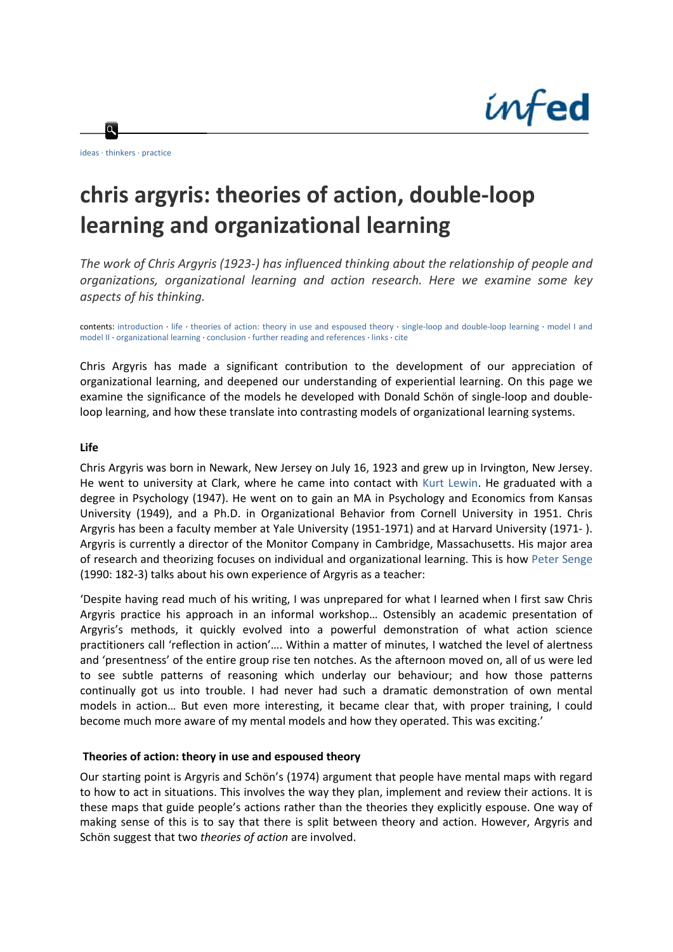

 $\alpha$ 

# **chris argyris: theories of action, double‐loop learning and organizational learning**

*The work of Chris Argyris (1923‐) has influenced thinking about the relationship of people and organizations, organizational learning and action research. Here we examine some key aspects of his thinking.*

contents: [introduction](http://www.infed.org/thinkers/argyris.htm#intro#intro) ∙ [life](http://www.infed.org/thinkers/argyris.htm#_Life#_Life) ∙ theories of action: theory in use and [espoused](http://www.infed.org/thinkers/argyris.htm#_Theories_of_action:#_Theories_of_action:) theory ∙ single‐loop and double‐loop [learning](http://www.infed.org/thinkers/argyris.htm#_Single-loop_and_double-loop#_Single-loop_and_double-loop) ∙ [model](http://www.infed.org/thinkers/argyris.htm#_Model_I_and#_Model_I_and) I and [model](http://www.infed.org/thinkers/argyris.htm#_Model_I_and#_Model_I_and) II ∙ [organizational](http://www.infed.org/thinkers/argyris.htm#_Organizational_learning#_Organizational_learning) learning ∙ [conclusion](http://www.infed.org/thinkers/argyris.htm#_Conclusion#_Conclusion) ∙ further reading and [references](http://www.infed.org/thinkers/argyris.htm#_Further_reading_and#_Further_reading_and) ∙ [links](http://www.infed.org/thinkers/argyris.htm#_Links#_Links) ∙ [cite](http://www.infed.org/thinkers/argyris.htm#cite#cite)

Chris Argyris has made a significant contribution to the development of our appreciation of organizational learning, and deepened our understanding of experiential learning. On this page we examine the significance of the models he developed with Donald Schön of single‐loop and double‐ loop learning, and how these translate into contrasting models of organizational learning systems.

#### **Life**

Chris Argyris was born in Newark, New Jersey on July 16, 1923 and grew up in Irvington, New Jersey. He went to university at Clark, where he came into contact with Kurt [Lewin.](http://www.infed.org/thinkers/et-lewin.htm) He graduated with a degree in Psychology (1947). He went on to gain an MA in Psychology and Economics from Kansas University (1949), and a Ph.D. in Organizational Behavior from Cornell University in 1951. Chris Argyris has been a faculty member at Yale University (1951‐1971) and at Harvard University (1971‐ ). Argyris is currently a director of the Monitor Company in Cambridge, Massachusetts. His major area of research and theorizing focuses on individual and organizational learning. This is how Peter [Senge](http://www.infed.org/thinkers/senge.htm) (1990: 182‐3) talks about his own experience of Argyris as a teacher:

'Despite having read much of his writing, I was unprepared for what I learned when I first saw Chris Argyris practice his approach in an informal workshop… Ostensibly an academic presentation of Argyris's methods, it quickly evolved into a powerful demonstration of what action science practitioners call 'reflection in action'…. Within a matter of minutes, I watched the level of alertness and 'presentness' of the entire group rise ten notches. As the afternoon moved on, all of us were led to see subtle patterns of reasoning which underlay our behaviour; and how those patterns continually got us into trouble. I had never had such a dramatic demonstration of own mental models in action… But even more interesting, it became clear that, with proper training, I could become much more aware of my mental models and how they operated. This was exciting.'

#### **Theories of action: theory in use and espoused theory**

Our starting point is Argyris and Schön's (1974) argument that people have mental maps with regard to how to act in situations. This involves the way they plan, implement and review their actions. It is these maps that guide people's actions rather than the theories they explicitly espouse. One way of making sense of this is to say that there is split between theory and action. However, Argyris and Schön suggest that two *theories of action* are involved.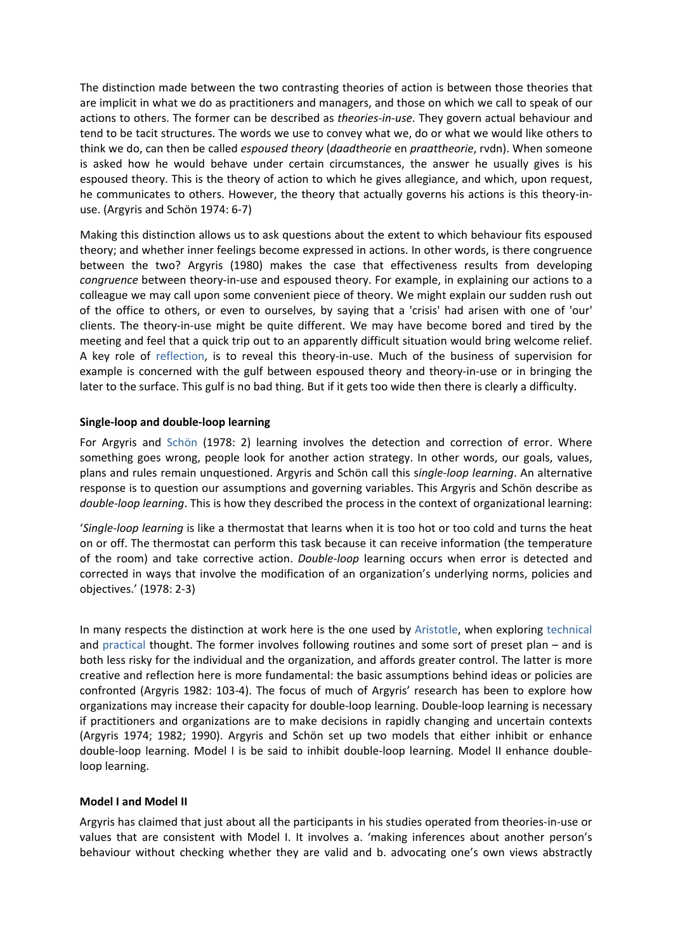The distinction made between the two contrasting theories of action is between those theories that are implicit in what we do as practitioners and managers, and those on which we call to speak of our actions to others. The former can be described as *theories‐in‐use*. They govern actual behaviour and tend to be tacit structures. The words we use to convey what we, do or what we would like others to think we do, can then be called *espoused theory* (*daadtheorie* en *praattheorie*, rvdn). When someone is asked how he would behave under certain circumstances, the answer he usually gives is his espoused theory. This is the theory of action to which he gives allegiance, and which, upon request, he communicates to others. However, the theory that actually governs his actions is this theory-inuse. (Argyris and Schön 1974: 6‐7)

Making this distinction allows us to ask questions about the extent to which behaviour fits espoused theory; and whether inner feelings become expressed in actions. In other words, is there congruence between the two? Argyris (1980) makes the case that effectiveness results from developing *congruence* between theory‐in‐use and espoused theory. For example, in explaining our actions to a colleague we may call upon some convenient piece of theory. We might explain our sudden rush out of the office to others, or even to ourselves, by saying that a 'crisis' had arisen with one of 'our' clients. The theory‐in‐use might be quite different. We may have become bored and tired by the meeting and feel that a quick trip out to an apparently difficult situation would bring welcome relief. A key role of [reflection,](http://www.infed.org/biblio/b-reflect.htm) is to reveal this theory-in-use. Much of the business of supervision for example is concerned with the gulf between espoused theory and theory-in-use or in bringing the later to the surface. This gulf is no bad thing. But if it gets too wide then there is clearly a difficulty.

# **Single‐loop and double‐loop learning**

For Argyris and [Schön](http://www.infed.org/thinkers/et-schon.htm) (1978: 2) learning involves the detection and correction of error. Where something goes wrong, people look for another action strategy. In other words, our goals, values, plans and rules remain unquestioned. Argyris and Schön call this s*ingle‐loop learning*. An alternative response is to question our assumptions and governing variables. This Argyris and Schön describe as *double‐loop learning*. This is how they described the process in the context of organizational learning:

'*Single‐loop learning* is like a thermostat that learns when it is too hot or too cold and turns the heat on or off. The thermostat can perform this task because it can receive information (the temperature of the room) and take corrective action. *Double‐loop* learning occurs when error is detected and corrected in ways that involve the modification of an organization's underlying norms, policies and objectives.' (1978: 2‐3)

In many respects the distinction at work here is the one used by [Aristotle](http://www.infed.org/thinkers/et-arist.htm), when exploring [technical](http://www.infed.org/biblio/knowledge.htm#productive) and [practical](http://www.infed.org/biblio/knowledge.htm#practical) thought. The former involves following routines and some sort of preset plan – and is both less risky for the individual and the organization, and affords greater control. The latter is more creative and reflection here is more fundamental: the basic assumptions behind ideas or policies are confronted (Argyris 1982: 103‐4). The focus of much of Argyris' research has been to explore how organizations may increase their capacity for double‐loop learning. Double‐loop learning is necessary if practitioners and organizations are to make decisions in rapidly changing and uncertain contexts (Argyris 1974; 1982; 1990). Argyris and Schön set up two models that either inhibit or enhance double‐loop learning. Model I is be said to inhibit double‐loop learning. Model II enhance double‐ loop learning.

# **Model I and Model II**

Argyris has claimed that just about all the participants in his studies operated from theories‐in‐use or values that are consistent with Model I. It involves a. 'making inferences about another person's behaviour without checking whether they are valid and b. advocating one's own views abstractly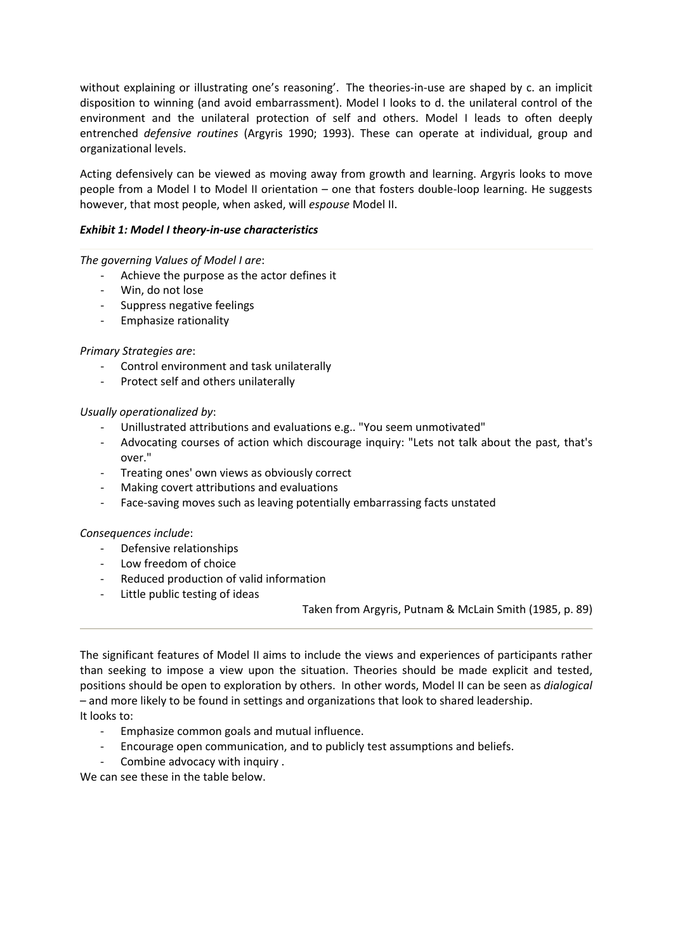without explaining or illustrating one's reasoning'. The theories-in-use are shaped by c. an implicit disposition to winning (and avoid embarrassment). Model I looks to d. the unilateral control of the environment and the unilateral protection of self and others. Model I leads to often deeply entrenched *defensive routines* (Argyris 1990; 1993). These can operate at individual, group and organizational levels.

Acting defensively can be viewed as moving away from growth and learning. Argyris looks to move people from a Model I to Model II orientation – one that fosters double‐loop learning. He suggests however, that most people, when asked, will *espouse* Model II.

# *Exhibit 1: Model I theory‐in‐use characteristics*

*The governing Values of Model I are*:

- ‐ Achieve the purpose as the actor defines it
- ‐ Win, do not lose
- ‐ Suppress negative feelings
- ‐ Emphasize rationality

# *Primary Strategies are*:

- ‐ Control environment and task unilaterally
- ‐ Protect self and others unilaterally

# *Usually operationalized by*:

- ‐ Unillustrated attributions and evaluations e.g.. "You seem unmotivated"
- ‐ Advocating courses of action which discourage inquiry: "Lets not talk about the past, that's over."
- ‐ Treating ones' own views as obviously correct
- ‐ Making covert attributions and evaluations
- ‐ Face‐saving moves such as leaving potentially embarrassing facts unstated

# *Consequences include*:

- ‐ Defensive relationships
- ‐ Low freedom of choice
- ‐ Reduced production of valid information
- ‐ Little public testing of ideas

Taken from Argyris, Putnam & McLain Smith (1985, p. 89)

The significant features of Model II aims to include the views and experiences of participants rather than seeking to impose a view upon the situation. Theories should be made explicit and tested, positions should be open to exploration by others. In other words, Model II can be seen as *[dialogical](http://www.infed.org/biblio/b-dialog.htm)* – and more likely to be found in settings and organizations that look to shared [leadership.](http://www.infed.org/leadership/shared_leadership.htm) It looks to:

- ‐ Emphasize common goals and mutual influence.
- ‐ Encourage open communication, and to publicly test assumptions and beliefs.
- Combine advocacy with inquiry .

We can see these in the table below.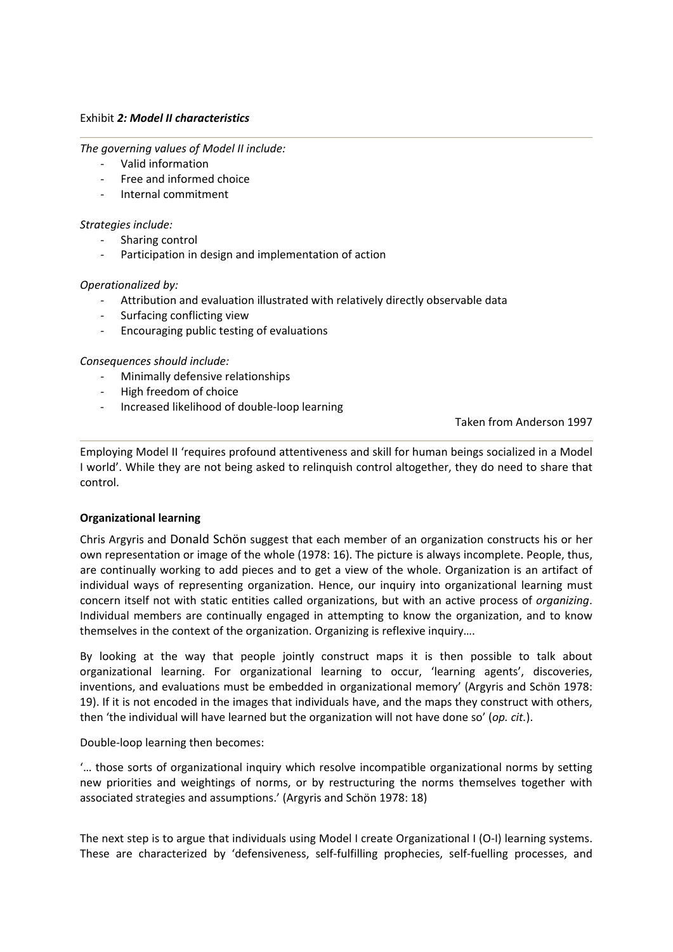#### Exhibit *2: Model II characteristics*

*The governing values of Model II include:*

- ‐ Valid information
- ‐ Free and informed choice
- ‐ Internal commitment

#### *Strategies include:*

- Sharing control
- ‐ Participation in design and implementation of action

#### *Operationalized by:*

- ‐ Attribution and evaluation illustrated with relatively directly observable data
- ‐ Surfacing conflicting view
- ‐ Encouraging public testing of evaluations

#### *Consequences should include:*

- ‐ Minimally defensive relationships
- ‐ High freedom of choice
- ‐ Increased likelihood of double‐loop learning

Taken from Anderson 1997

Employing Model II 'requires profound attentiveness and skill for human beings socialized in a Model I world'. While they are not being asked to relinquish control altogether, they do need to share that control.

# **Organizational learning**

Chris Argyris and [Donald](http://www.infed.org/thinkers/et-schon.htm) Schön suggest that each member of an organization constructs his or her own representation or image of the whole (1978: 16). The picture is always incomplete. People, thus, are continually working to add pieces and to get a view of the whole. Organization is an artifact of individual ways of representing organization. Hence, our inquiry into organizational learning must concern itself not with static entities called organizations, but with an active process of *organizing*. Individual members are continually engaged in attempting to know the organization, and to know themselves in the context of the organization. Organizing is reflexive inquiry….

By looking at the way that people jointly construct maps it is then possible to talk about organizational learning. For organizational learning to occur, 'learning agents', discoveries, inventions, and evaluations must be embedded in organizational memory' (Argyris and Schön 1978: 19). If it is not encoded in the images that individuals have, and the maps they construct with others, then 'the individual will have learned but the organization will not have done so' (*op. cit.*).

Double‐loop learning then becomes:

'… those sorts of organizational inquiry which resolve incompatible organizational norms by setting new priorities and weightings of norms, or by restructuring the norms themselves together with associated strategies and assumptions.' (Argyris and Schön 1978: 18)

The next step is to argue that individuals using Model I create Organizational I (O-I) learning systems. These are characterized by 'defensiveness, self-fulfilling prophecies, self-fuelling processes, and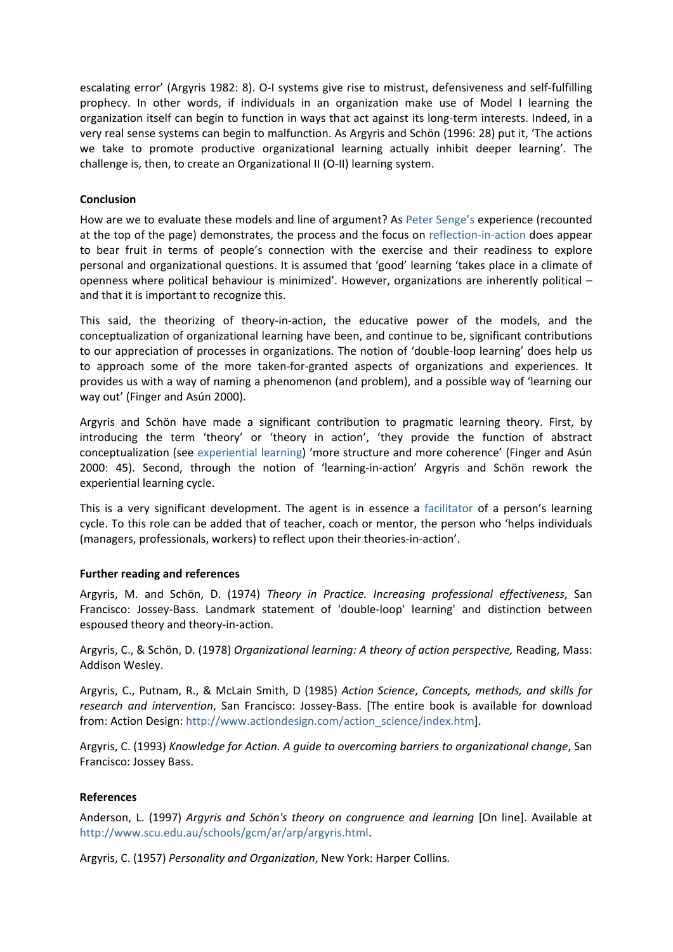escalating error' (Argyris 1982: 8). O‐I systems give rise to mistrust, defensiveness and self‐fulfilling prophecy. In other words, if individuals in an organization make use of Model I learning the organization itself can begin to function in ways that act against its long‐term interests. Indeed, in a very real sense systems can begin to malfunction. As Argyris and Schön (1996: 28) put it, 'The actions we take to promote productive organizational learning actually inhibit deeper learning'. The challenge is, then, to create an Organizational II (O‐II) learning system.

# **Conclusion**

How are we to evaluate these models and line of argument? As Peter [Senge's](http://www.infed.org/thinkers/senge.htm) experience (recounted at the top of the page) demonstrates, the process and the focus on [reflection](http://www.infed.org/biblio/b-reflect.htm)‐in‐action does appear to bear fruit in terms of people's connection with the exercise and their readiness to explore personal and organizational questions. It is assumed that 'good' learning 'takes place in a climate of openness where political behaviour is minimized'. However, organizations are inherently political – and that it is important to recognize this.

This said, the theorizing of theory-in-action, the educative power of the models, and the conceptualization of organizational learning have been, and continue to be, significant contributions to our appreciation of processes in organizations. The notion of 'double‐loop learning' does help us to approach some of the more taken-for-granted aspects of organizations and experiences. It provides us with a way of naming a phenomenon (and problem), and a possible way of 'learning our way out' (Finger and Asún 2000).

Argyris and Schön have made a significant contribution to pragmatic learning theory. First, by introducing the term 'theory' or 'theory in action', 'they provide the function of abstract conceptualization (see [experiential](http://www.infed.org/biblio/b-explrn.htm) learning) 'more structure and more coherence' (Finger and Asún 2000: 45). Second, through the notion of 'learning‐in‐action' Argyris and Schön rework the experiential learning cycle.

This is a very significant development. The agent is in essence a [facilitator](http://www.infed.org/biblio/b-facil.htm) of a person's learning cycle. To this role can be added that of teacher, coach or mentor, the person who 'helps individuals (managers, professionals, workers) to reflect upon their theories‐in‐action'.

# **Further reading and references**

Argyris, M. and Schön, D. (1974) *Theory in Practice. Increasing professional effectiveness*, San Francisco: Jossey‐Bass. Landmark statement of 'double‐loop' learning' and distinction between espoused theory and theory‐in‐action.

Argyris, C., & Schön, D. (1978) *Organizational learning: A theory of action perspective,* Reading, Mass: Addison Wesley.

Argyris, C., Putnam, R., & McLain Smith, D (1985) *Action Science*, *Concepts, methods, and skills for research and intervention*, San Francisco: Jossey‐Bass. [The entire book is available for download from: Action Design: [http://www.actiondesign.com/action\\_science/index.htm\]](http://www.actiondesign.com/action_science/index.htm).

Argyris, C. (1993) *Knowledge for Action. A guide to overcoming barriers to organizational change*, San Francisco: Jossey Bass.

# **References**

Anderson, L. (1997) *Argyris and Schön's theory on congruence and learning* [On line]. Available at <http://www.scu.edu.au/schools/gcm/ar/arp/argyris.html>.

Argyris, C. (1957) *Personality and Organization*, New York: Harper Collins.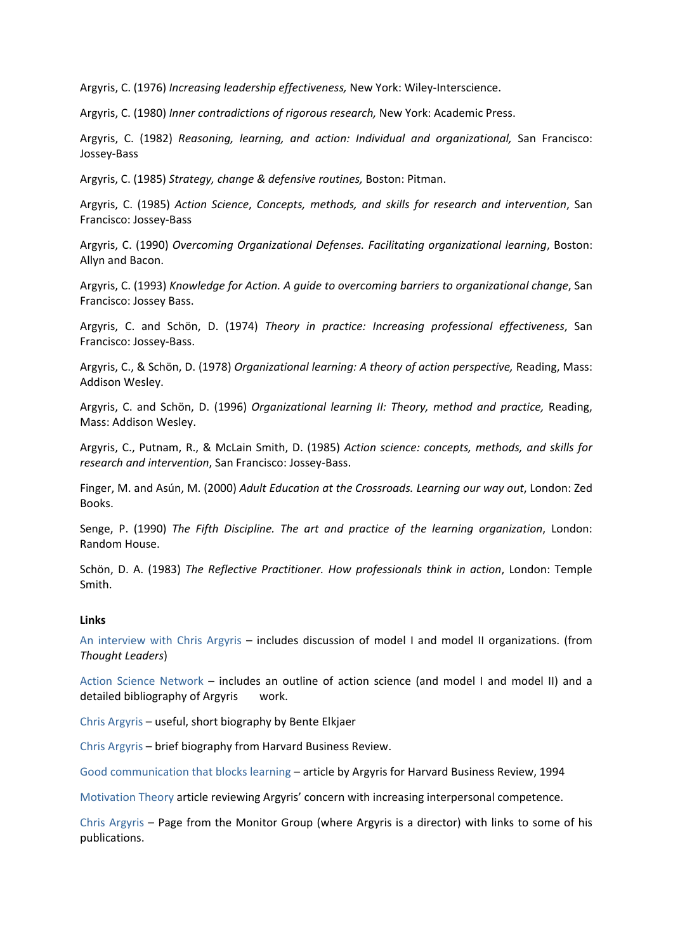Argyris, C. (1976) *Increasing leadership effectiveness,* New York: Wiley‐Interscience.

Argyris, C. (1980) *Inner contradictions of rigorous research,* New York: Academic Press.

Argyris, C. (1982) *Reasoning, learning, and action: Individual and organizational,* San Francisco: Jossey‐Bass

Argyris, C. (1985) *Strategy, change & defensive routines,* Boston: Pitman.

Argyris, C. (1985) *Action Science*, *Concepts, methods, and skills for research and intervention*, San Francisco: Jossey‐Bass

Argyris, C. (1990) *Overcoming Organizational Defenses. Facilitating organizational learning*, Boston: Allyn and Bacon.

Argyris, C. (1993) *Knowledge for Action. A guide to overcoming barriers to organizational change*, San Francisco: Jossey Bass.

Argyris, C. and Schön, D. (1974) *Theory in practice: Increasing professional effectiveness*, San Francisco: Jossey‐Bass.

Argyris, C., & Schön, D. (1978) *Organizational learning: A theory of action perspective,* Reading, Mass: Addison Wesley.

Argyris, C. and Schön, D. (1996) *Organizational learning II: Theory, method and practice,* Reading, Mass: Addison Wesley.

Argyris, C., Putnam, R., & McLain Smith, D. (1985) *Action science: concepts, methods, and skills for research and intervention*, San Francisco: Jossey‐Bass.

Finger, M. and Asún, M. (2000) *Adult Education at the Crossroads. Learning our way out*, London: Zed Books.

Senge, P. (1990) *The Fifth Discipline. The art and practice of the learning organization*, London: Random House.

Schön, D. A. (1983) *The Reflective Practitioner. How professionals think in action*, London: Temple Smith.

#### **Links**

An [interview](http://www.strategy-business.com/thoughtleaders/98109/) with Chris Argyris – includes discussion of model I and model II organizations. (from *Thought Leaders*)

Action Science [Network](http://www.actionscience.com/) – includes an outline of action science (and model I and model II) and a detailed bibliography of Argyris work.

Chris [Argyris](http://www.inf.cbs.dk/departments/inf/news/Chris%20Argyris.htm) – useful, short biography by Bente Elkjaer

Chris [Argyris](http://www.hbsp.harvard.edu/products/hbr/mayjun98/98302a.html) – brief biography from Harvard Business Review.

Good [communication](http://www.onepine.demon.co.uk/HBRArg.htm) that blocks learning – article by Argyris for Harvard Business Review, 1994

[Motivation](http://www.accel-team.com/motivation/chris_argyris_00.html) Theory article reviewing Argyris' concern with increasing interpersonal competence.

Chris [Argyris](http://www.monitor.com/cgi-bin/iowa/ideas/authors.html?record=11) – Page from the Monitor Group (where Argyris is a director) with links to some of his publications.